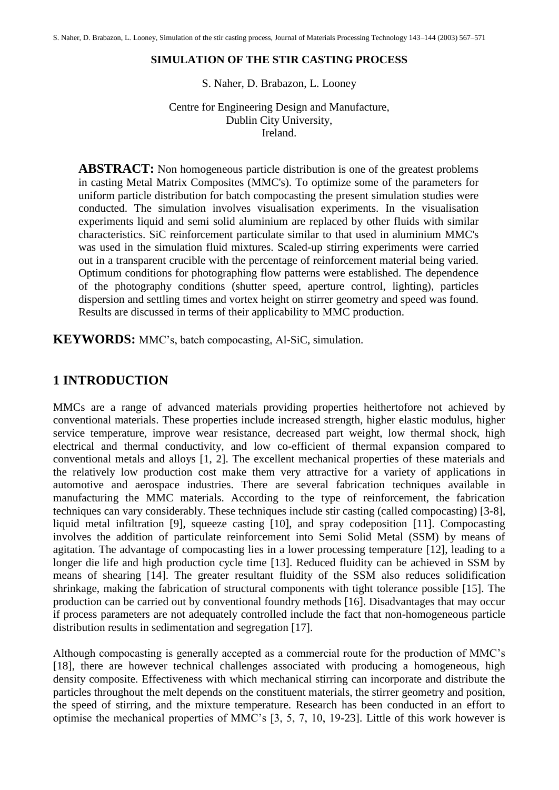#### **SIMULATION OF THE STIR CASTING PROCESS**

S. Naher, D. Brabazon, L. Looney

Centre for Engineering Design and Manufacture, Dublin City University, Ireland.

**ABSTRACT:** Non homogeneous particle distribution is one of the greatest problems in casting Metal Matrix Composites (MMC's). To optimize some of the parameters for uniform particle distribution for batch compocasting the present simulation studies were conducted. The simulation involves visualisation experiments. In the visualisation experiments liquid and semi solid aluminium are replaced by other fluids with similar characteristics. SiC reinforcement particulate similar to that used in aluminium MMC's was used in the simulation fluid mixtures. Scaled-up stirring experiments were carried out in a transparent crucible with the percentage of reinforcement material being varied. Optimum conditions for photographing flow patterns were established. The dependence of the photography conditions (shutter speed, aperture control, lighting), particles dispersion and settling times and vortex height on stirrer geometry and speed was found. Results are discussed in terms of their applicability to MMC production.

**KEYWORDS:** MMC's, batch compocasting, Al-SiC, simulation.

### **1 INTRODUCTION**

MMCs are a range of advanced materials providing properties heithertofore not achieved by conventional materials. These properties include increased strength, higher elastic modulus, higher service temperature, improve wear resistance, decreased part weight, low thermal shock, high electrical and thermal conductivity, and low co-efficient of thermal expansion compared to conventional metals and alloys [1, 2]. The excellent mechanical properties of these materials and the relatively low production cost make them very attractive for a variety of applications in automotive and aerospace industries. There are several fabrication techniques available in manufacturing the MMC materials. According to the type of reinforcement, the fabrication techniques can vary considerably. These techniques include stir casting (called compocasting) [3-8], liquid metal infiltration [9], squeeze casting [10], and spray codeposition [11]. Compocasting involves the addition of particulate reinforcement into Semi Solid Metal (SSM) by means of agitation. The advantage of compocasting lies in a lower processing temperature [12], leading to a longer die life and high production cycle time [13]. Reduced fluidity can be achieved in SSM by means of shearing [14]. The greater resultant fluidity of the SSM also reduces solidification shrinkage, making the fabrication of structural components with tight tolerance possible [15]. The production can be carried out by conventional foundry methods [16]. Disadvantages that may occur if process parameters are not adequately controlled include the fact that non-homogeneous particle distribution results in sedimentation and segregation [17].

Although compocasting is generally accepted as a commercial route for the production of MMC's [18], there are however technical challenges associated with producing a homogeneous, high density composite. Effectiveness with which mechanical stirring can incorporate and distribute the particles throughout the melt depends on the constituent materials, the stirrer geometry and position, the speed of stirring, and the mixture temperature. Research has been conducted in an effort to optimise the mechanical properties of MMC's [3, 5, 7, 10, 19-23]. Little of this work however is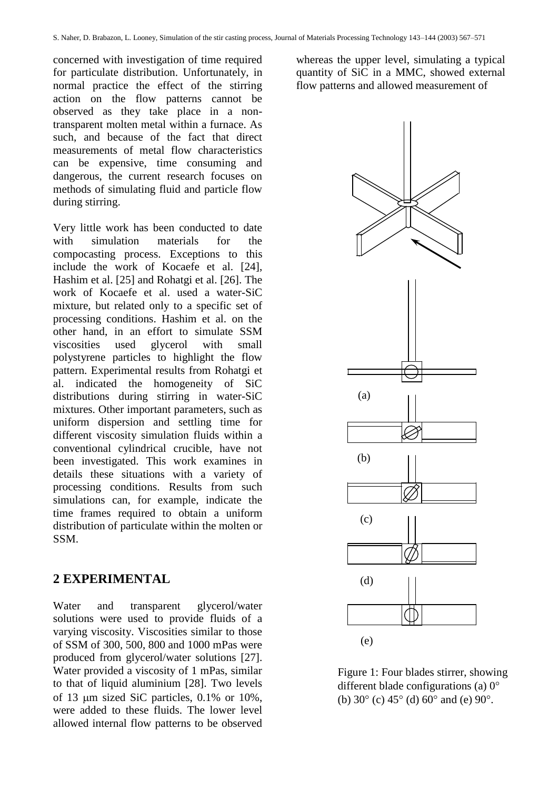concerned with investigation of time required for particulate distribution. Unfortunately, in normal practice the effect of the stirring action on the flow patterns cannot be observed as they take place in a nontransparent molten metal within a furnace. As such, and because of the fact that direct measurements of metal flow characteristics can be expensive, time consuming and dangerous, the current research focuses on methods of simulating fluid and particle flow during stirring.

Very little work has been conducted to date with simulation materials for the compocasting process. Exceptions to this include the work of Kocaefe et al. [24], Hashim et al. [25] and Rohatgi et al. [26]. The work of Kocaefe et al. used a water-SiC mixture, but related only to a specific set of processing conditions. Hashim et al. on the other hand, in an effort to simulate SSM viscosities used glycerol with small polystyrene particles to highlight the flow pattern. Experimental results from Rohatgi et al. indicated the homogeneity of SiC distributions during stirring in water-SiC mixtures. Other important parameters, such as uniform dispersion and settling time for different viscosity simulation fluids within a conventional cylindrical crucible, have not been investigated. This work examines in details these situations with a variety of processing conditions. Results from such simulations can, for example, indicate the time frames required to obtain a uniform distribution of particulate within the molten or SSM.

#### **2 EXPERIMENTAL**

Water and transparent glycerol/water solutions were used to provide fluids of a varying viscosity. Viscosities similar to those of SSM of 300, 500, 800 and 1000 mPas were produced from glycerol/water solutions [27]. Water provided a viscosity of 1 mPas, similar to that of liquid aluminium [28]. Two levels of 13  $\mu$ m sized SiC particles, 0.1% or 10%, were added to these fluids. The lower level allowed internal flow patterns to be observed whereas the upper level, simulating a typical quantity of SiC in a MMC, showed external flow patterns and allowed measurement of



Figure 1: Four blades stirrer, showing different blade configurations (a)  $0^{\circ}$ (b)  $30^{\circ}$  (c)  $45^{\circ}$  (d)  $60^{\circ}$  and (e)  $90^{\circ}$ .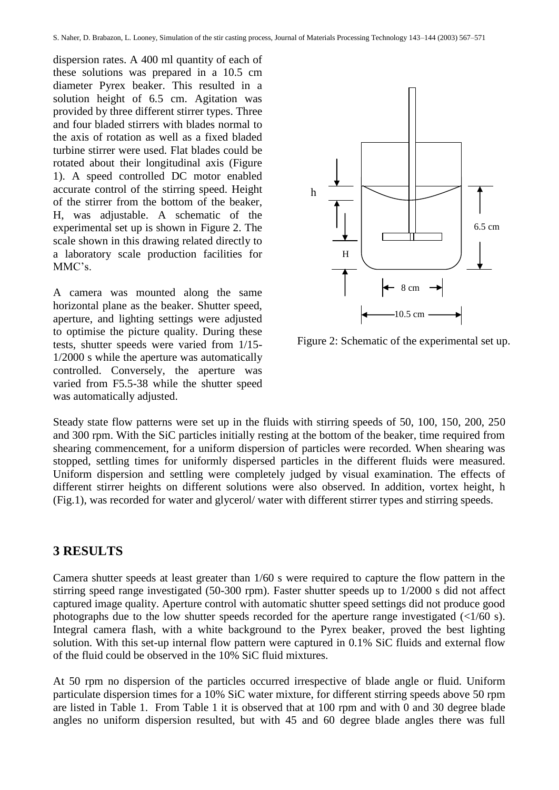dispersion rates. A 400 ml quantity of each of these solutions was prepared in a 10.5 cm diameter Pyrex beaker. This resulted in a solution height of 6.5 cm. Agitation was provided by three different stirrer types. Three and four bladed stirrers with blades normal to the axis of rotation as well as a fixed bladed turbine stirrer were used. Flat blades could be rotated about their longitudinal axis (Figure 1). A speed controlled DC motor enabled accurate control of the stirring speed. Height of the stirrer from the bottom of the beaker, H, was adjustable. A schematic of the experimental set up is shown in Figure 2. The scale shown in this drawing related directly to a laboratory scale production facilities for MMC's.

A camera was mounted along the same horizontal plane as the beaker. Shutter speed, aperture, and lighting settings were adjusted to optimise the picture quality. During these tests, shutter speeds were varied from 1/15- 1/2000 s while the aperture was automatically controlled. Conversely, the aperture was varied from F5.5-38 while the shutter speed was automatically adjusted.



Figure 2: Schematic of the experimental set up.

Steady state flow patterns were set up in the fluids with stirring speeds of 50, 100, 150, 200, 250 and 300 rpm. With the SiC particles initially resting at the bottom of the beaker, time required from shearing commencement, for a uniform dispersion of particles were recorded. When shearing was stopped, settling times for uniformly dispersed particles in the different fluids were measured. Uniform dispersion and settling were completely judged by visual examination. The effects of different stirrer heights on different solutions were also observed. In addition, vortex height, h (Fig.1), was recorded for water and glycerol/ water with different stirrer types and stirring speeds.

### **3 RESULTS**

Camera shutter speeds at least greater than 1/60 s were required to capture the flow pattern in the stirring speed range investigated (50-300 rpm). Faster shutter speeds up to 1/2000 s did not affect captured image quality. Aperture control with automatic shutter speed settings did not produce good photographs due to the low shutter speeds recorded for the aperture range investigated  $\left\langle \langle 1/60 \rangle \right\rangle$ . Integral camera flash, with a white background to the Pyrex beaker, proved the best lighting solution. With this set-up internal flow pattern were captured in 0.1% SiC fluids and external flow of the fluid could be observed in the 10% SiC fluid mixtures.

At 50 rpm no dispersion of the particles occurred irrespective of blade angle or fluid. Uniform particulate dispersion times for a 10% SiC water mixture, for different stirring speeds above 50 rpm are listed in Table 1. From Table 1 it is observed that at 100 rpm and with 0 and 30 degree blade angles no uniform dispersion resulted, but with 45 and 60 degree blade angles there was full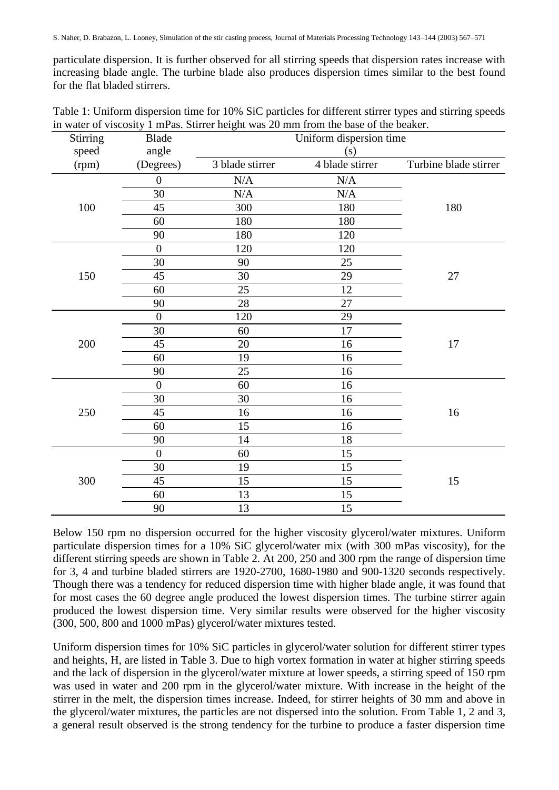particulate dispersion. It is further observed for all stirring speeds that dispersion rates increase with increasing blade angle. The turbine blade also produces dispersion times similar to the best found for the flat bladed stirrers.

| Table 1: Uniform dispersion time for 10% SiC particles for different stirrer types and stirring speeds |  |
|--------------------------------------------------------------------------------------------------------|--|
| in water of viscosity 1 mPas. Stirrer height was 20 mm from the base of the beaker.                    |  |

| <b>Stirring</b> | <b>Blade</b>     |                 | Uniform dispersion time |                       |
|-----------------|------------------|-----------------|-------------------------|-----------------------|
| speed           | angle            |                 | (s)                     |                       |
| (rpm)           | (Degrees)        | 3 blade stirrer | 4 blade stirrer         | Turbine blade stirrer |
|                 | $\boldsymbol{0}$ | $\rm N/A$       | $\rm N/A$               |                       |
|                 | 30               | $\rm N/A$       | N/A                     |                       |
| 100             | 45               | 300             | 180                     | 180                   |
|                 | 60               | 180             | 180                     |                       |
|                 | 90               | 180             | 120                     |                       |
|                 | $\overline{0}$   | 120             | 120                     |                       |
|                 | 30               | 90              | 25                      |                       |
| 150             | 45               | 30              | 29                      | 27                    |
|                 | 60               | 25              | 12                      |                       |
|                 | 90               | 28              | 27                      |                       |
|                 | $\overline{0}$   | 120             | 29                      |                       |
|                 | 30               | 60              | 17                      |                       |
| 200             | 45               | 20              | 16                      | 17                    |
|                 | 60               | 19              | 16                      |                       |
|                 | 90               | 25              | 16                      |                       |
|                 | $\boldsymbol{0}$ | 60              | 16                      |                       |
|                 | 30               | 30              | 16                      |                       |
| 250             | 45               | 16              | 16                      | 16                    |
|                 | 60               | 15              | 16                      |                       |
|                 | 90               | 14              | 18                      |                       |
|                 | $\boldsymbol{0}$ | 60              | 15                      |                       |
|                 | 30               | 19              | 15                      |                       |
| 300             | 45               | 15              | 15                      | 15                    |
|                 | 60               | 13              | 15                      |                       |
|                 | 90               | 13              | 15                      |                       |

Below 150 rpm no dispersion occurred for the higher viscosity glycerol/water mixtures. Uniform particulate dispersion times for a 10% SiC glycerol/water mix (with 300 mPas viscosity), for the different stirring speeds are shown in Table 2. At 200, 250 and 300 rpm the range of dispersion time for 3, 4 and turbine bladed stirrers are 1920-2700, 1680-1980 and 900-1320 seconds respectively. Though there was a tendency for reduced dispersion time with higher blade angle, it was found that for most cases the 60 degree angle produced the lowest dispersion times. The turbine stirrer again produced the lowest dispersion time. Very similar results were observed for the higher viscosity (300, 500, 800 and 1000 mPas) glycerol/water mixtures tested.

Uniform dispersion times for 10% SiC particles in glycerol/water solution for different stirrer types and heights, H, are listed in Table 3. Due to high vortex formation in water at higher stirring speeds and the lack of dispersion in the glycerol/water mixture at lower speeds, a stirring speed of 150 rpm was used in water and 200 rpm in the glycerol/water mixture. With increase in the height of the stirrer in the melt, the dispersion times increase. Indeed, for stirrer heights of 30 mm and above in the glycerol/water mixtures, the particles are not dispersed into the solution. From Table 1, 2 and 3, a general result observed is the strong tendency for the turbine to produce a faster dispersion time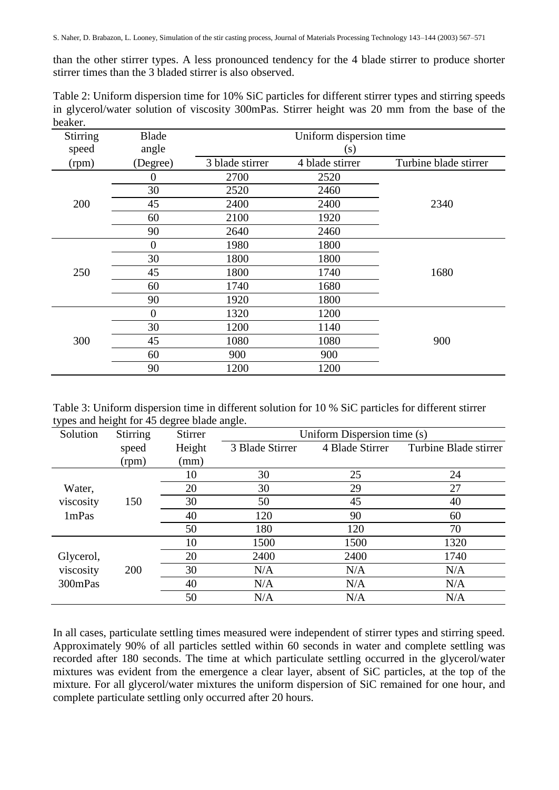than the other stirrer types. A less pronounced tendency for the 4 blade stirrer to produce shorter stirrer times than the 3 bladed stirrer is also observed.

| Table 2: Uniform dispersion time for 10% SiC particles for different stirrer types and stirring speeds |  |  |  |  |  |  |
|--------------------------------------------------------------------------------------------------------|--|--|--|--|--|--|
| in glycerol/water solution of viscosity 300mPas. Stirrer height was 20 mm from the base of the         |  |  |  |  |  |  |
| beaker.                                                                                                |  |  |  |  |  |  |

| <b>Stirring</b> | <b>Blade</b>   | Uniform dispersion time |                 |                       |  |  |
|-----------------|----------------|-------------------------|-----------------|-----------------------|--|--|
| speed           | angle          |                         | (s)             |                       |  |  |
| (rpm)           | (Degree)       | 3 blade stirrer         | 4 blade stirrer | Turbine blade stirrer |  |  |
|                 | $\theta$       | 2700                    | 2520            |                       |  |  |
|                 | 30             | 2520                    | 2460            |                       |  |  |
| 200             | 45             | 2400                    | 2400            | 2340                  |  |  |
|                 | 60             | 2100                    | 1920            |                       |  |  |
|                 | 90             | 2640                    | 2460            |                       |  |  |
|                 | $\overline{0}$ | 1980                    | 1800            |                       |  |  |
|                 | 30             | 1800                    | 1800            |                       |  |  |
| 250             | 45             | 1800                    | 1740            | 1680                  |  |  |
|                 | 60             | 1740                    | 1680            |                       |  |  |
|                 | 90             | 1920                    | 1800            |                       |  |  |
|                 | $\theta$       | 1320                    | 1200            |                       |  |  |
|                 | 30             | 1200                    | 1140            |                       |  |  |
| 300             | 45             | 1080                    | 1080            | 900                   |  |  |
|                 | 60             | 900                     | 900             |                       |  |  |
|                 | 90             | 1200                    | 1200            |                       |  |  |

Table 3: Uniform dispersion time in different solution for 10 % SiC particles for different stirrer types and height for 45 degree blade angle.

| Solution  | <b>Stirring</b> | Stirrer | Uniform Dispersion time (s) |                 |                       |  |  |
|-----------|-----------------|---------|-----------------------------|-----------------|-----------------------|--|--|
|           | speed           | Height  | 3 Blade Stirrer             | 4 Blade Stirrer | Turbine Blade stirrer |  |  |
|           | (rpm)           | (mm)    |                             |                 |                       |  |  |
|           |                 | 10      | 30                          | 25              | 24                    |  |  |
| Water,    |                 | 20      | 30                          | 29              | 27                    |  |  |
| viscosity | 150             | 30      | 50                          | 45              | 40                    |  |  |
| 1mPas     |                 | 40      | 120                         | 90              | 60                    |  |  |
|           |                 | 50      | 180                         | 120             | 70                    |  |  |
|           |                 | 10      | 1500                        | 1500            | 1320                  |  |  |
| Glycerol, |                 | 20      | 2400                        | 2400            | 1740                  |  |  |
| viscosity | 200             | 30      | N/A                         | N/A             | N/A                   |  |  |
| 300mPas   |                 | 40      | N/A                         | N/A             | N/A                   |  |  |
|           |                 | 50      | N/A                         | N/A             | N/A                   |  |  |

In all cases, particulate settling times measured were independent of stirrer types and stirring speed. Approximately 90% of all particles settled within 60 seconds in water and complete settling was recorded after 180 seconds. The time at which particulate settling occurred in the glycerol/water mixtures was evident from the emergence a clear layer, absent of SiC particles, at the top of the mixture. For all glycerol/water mixtures the uniform dispersion of SiC remained for one hour, and complete particulate settling only occurred after 20 hours.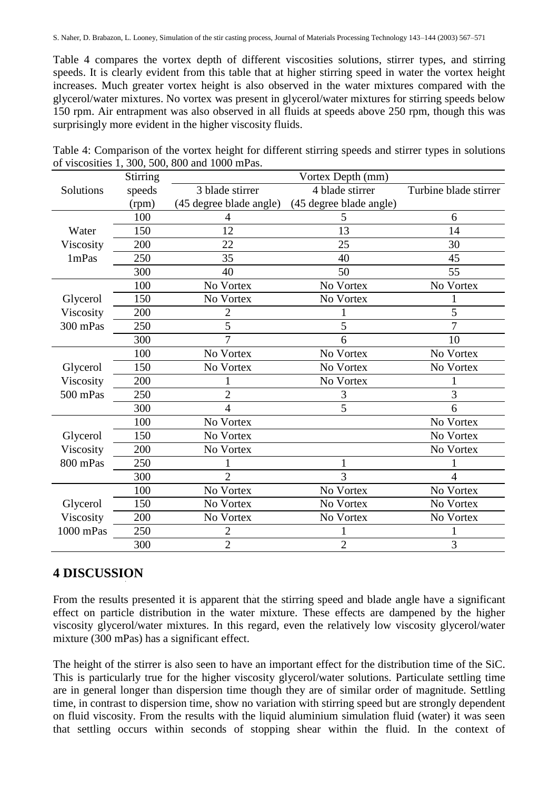Table 4 compares the vortex depth of different viscosities solutions, stirrer types, and stirring speeds. It is clearly evident from this table that at higher stirring speed in water the vortex height increases. Much greater vortex height is also observed in the water mixtures compared with the glycerol/water mixtures. No vortex was present in glycerol/water mixtures for stirring speeds below 150 rpm. Air entrapment was also observed in all fluids at speeds above 250 rpm, though this was surprisingly more evident in the higher viscosity fluids.

|           | Stirring | Vortex Depth (mm)                  |                         |                       |  |  |
|-----------|----------|------------------------------------|-------------------------|-----------------------|--|--|
| Solutions | speeds   | 4 blade stirrer<br>3 blade stirrer |                         | Turbine blade stirrer |  |  |
|           | (rpm)    | (45 degree blade angle)            | (45 degree blade angle) |                       |  |  |
|           | 100      |                                    | C.                      | 6                     |  |  |
| Water     | 150      | 12                                 | 13                      | 14                    |  |  |
| Viscosity | 200      | 22                                 | 25                      | 30                    |  |  |
| 1mPas     | 250      | 35                                 | 40                      | 45                    |  |  |
|           | 300      | 40                                 | 50                      | 55                    |  |  |
|           | 100      | No Vortex                          | No Vortex               | No Vortex             |  |  |
| Glycerol  | 150      | No Vortex                          | No Vortex               |                       |  |  |
| Viscosity | 200      | 2                                  |                         | 5                     |  |  |
| 300 mPas  | 250      | 5                                  | 5                       | 7                     |  |  |
|           | 300      | 7                                  | 6                       | 10                    |  |  |
|           | 100      | No Vortex                          | No Vortex               | No Vortex             |  |  |
| Glycerol  | 150      | No Vortex                          | No Vortex               | No Vortex             |  |  |
| Viscosity | 200      |                                    | No Vortex               |                       |  |  |
| 500 mPas  | 250      | $\overline{2}$                     | 3                       | 3                     |  |  |
|           | 300      | 4                                  | 5                       | 6                     |  |  |
|           | 100      | No Vortex                          |                         | No Vortex             |  |  |
| Glycerol  | 150      | No Vortex                          |                         | No Vortex             |  |  |
| Viscosity | 200      | No Vortex                          |                         | No Vortex             |  |  |
| 800 mPas  | 250      |                                    | 1                       |                       |  |  |
|           | 300      | $\overline{2}$                     | 3                       | $\overline{4}$        |  |  |
|           | 100      | No Vortex                          | No Vortex               | No Vortex             |  |  |
| Glycerol  | 150      | No Vortex                          | No Vortex               | No Vortex             |  |  |
| Viscosity | 200      | No Vortex                          | No Vortex               | No Vortex             |  |  |
| 1000 mPas | 250      | $\overline{2}$                     |                         |                       |  |  |
|           | 300      | $\overline{2}$                     | $\overline{2}$          | 3                     |  |  |

Table 4: Comparison of the vortex height for different stirring speeds and stirrer types in solutions of viscosities 1, 300, 500, 800 and 1000 mPas.

# **4 DISCUSSION**

From the results presented it is apparent that the stirring speed and blade angle have a significant effect on particle distribution in the water mixture. These effects are dampened by the higher viscosity glycerol/water mixtures. In this regard, even the relatively low viscosity glycerol/water mixture (300 mPas) has a significant effect.

The height of the stirrer is also seen to have an important effect for the distribution time of the SiC. This is particularly true for the higher viscosity glycerol/water solutions. Particulate settling time are in general longer than dispersion time though they are of similar order of magnitude. Settling time, in contrast to dispersion time, show no variation with stirring speed but are strongly dependent on fluid viscosity. From the results with the liquid aluminium simulation fluid (water) it was seen that settling occurs within seconds of stopping shear within the fluid. In the context of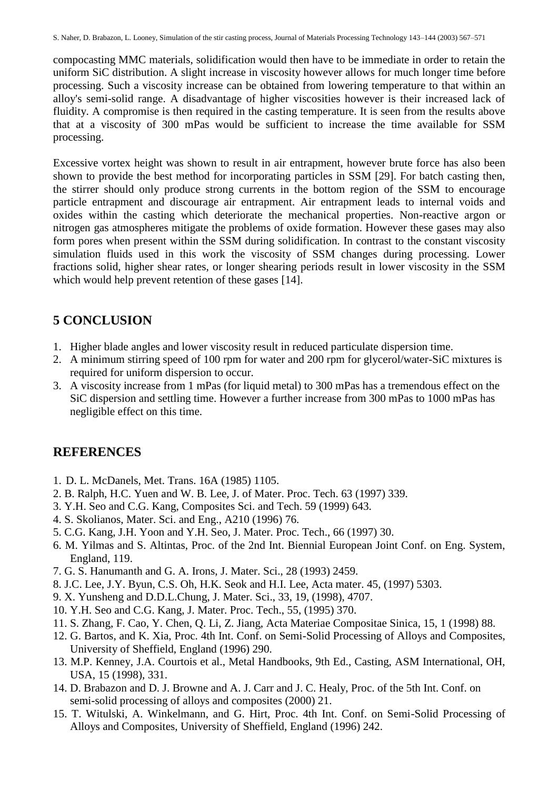compocasting MMC materials, solidification would then have to be immediate in order to retain the uniform SiC distribution. A slight increase in viscosity however allows for much longer time before processing. Such a viscosity increase can be obtained from lowering temperature to that within an alloy's semi-solid range. A disadvantage of higher viscosities however is their increased lack of fluidity. A compromise is then required in the casting temperature. It is seen from the results above that at a viscosity of 300 mPas would be sufficient to increase the time available for SSM processing.

Excessive vortex height was shown to result in air entrapment, however brute force has also been shown to provide the best method for incorporating particles in SSM [29]. For batch casting then, the stirrer should only produce strong currents in the bottom region of the SSM to encourage particle entrapment and discourage air entrapment. Air entrapment leads to internal voids and oxides within the casting which deteriorate the mechanical properties. Non-reactive argon or nitrogen gas atmospheres mitigate the problems of oxide formation. However these gases may also form pores when present within the SSM during solidification. In contrast to the constant viscosity simulation fluids used in this work the viscosity of SSM changes during processing. Lower fractions solid, higher shear rates, or longer shearing periods result in lower viscosity in the SSM which would help prevent retention of these gases [14].

# **5 CONCLUSION**

- 1. Higher blade angles and lower viscosity result in reduced particulate dispersion time.
- 2. A minimum stirring speed of 100 rpm for water and 200 rpm for glycerol/water-SiC mixtures is required for uniform dispersion to occur.
- 3. A viscosity increase from 1 mPas (for liquid metal) to 300 mPas has a tremendous effect on the SiC dispersion and settling time. However a further increase from 300 mPas to 1000 mPas has negligible effect on this time.

## **REFERENCES**

- 1. D. L. McDanels, Met. Trans. 16A (1985) 1105.
- 2. B. Ralph, H.C. Yuen and W. B. Lee, J. of Mater. Proc. Tech. 63 (1997) 339.
- 3. Y.H. Seo and C.G. Kang, Composites Sci. and Tech. 59 (1999) 643.
- 4. S. Skolianos, Mater. Sci. and Eng., A210 (1996) 76.
- 5. C.G. Kang, J.H. Yoon and Y.H. Seo, J. Mater. Proc. Tech., 66 (1997) 30.
- 6. M. Yilmas and S. Altintas, Proc. of the 2nd Int. Biennial European Joint Conf. on Eng. System, England, 119.
- 7. G. S. Hanumanth and G. A. Irons, J. Mater. Sci., 28 (1993) 2459.
- 8. J.C. Lee, J.Y. Byun, C.S. Oh, H.K. Seok and H.I. Lee, Acta mater. 45, (1997) 5303.
- 9. X. Yunsheng and D.D.L.Chung, J. Mater. Sci., 33, 19, (1998), 4707.
- 10. Y.H. Seo and C.G. Kang, J. Mater. Proc. Tech., 55, (1995) 370.
- 11. S. Zhang, F. Cao, Y. Chen, Q. Li, Z. Jiang, Acta Materiae Compositae Sinica, 15, 1 (1998) 88.
- 12. G. Bartos, and K. Xia, Proc. 4th Int. Conf. on Semi-Solid Processing of Alloys and Composites, University of Sheffield, England (1996) 290.
- 13. M.P. Kenney, J.A. Courtois et al., Metal Handbooks, 9th Ed., Casting, ASM International, OH, USA, 15 (1998), 331.
- 14. D. Brabazon and D. J. Browne and A. J. Carr and J. C. Healy, Proc. of the 5th Int. Conf. on semi-solid processing of alloys and composites (2000) 21.
- 15. T. Witulski, A. Winkelmann, and G. Hirt, Proc. 4th Int. Conf. on Semi-Solid Processing of Alloys and Composites, University of Sheffield, England (1996) 242.